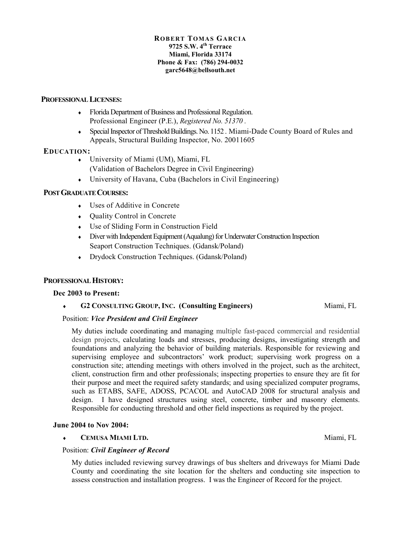#### **ROB ERT TOMAS GARCIA 9725 S.W. 4th Terrace Miami, Florida 33174 Phone & Fax: (786) 294-0032 garc5648@bellsouth.net**

# **PROFESSIONAL LICENSES:**

- ♦ Florida Department of Business and Professional Regulation. Professional Engineer (P.E.), *Registered No. 51370 .*
- ♦ Special Inspector of Threshold Buildings. No. 1152 . Miami-Dade County Board of Rules and Appeals, Structural Building Inspector, No. 20011605

# **EDUCATION:**

- ♦ University of Miami (UM), Miami, FL (Validation of Bachelors Degree in Civil Engineering)
- $\bullet$  University of Havana, Cuba (Bachelors in Civil Engineering)

# **POST GRADUATE COURSES:**

- Uses of Additive in Concrete
- ♦ Quality Control in Concrete
- ♦ Use of Sliding Form in Construction Field
- ♦ Diver with Independent Equipment (Aqualung) for Underwater Construction Inspection Seaport Construction Techniques. (Gdansk/Poland)
- ♦ Drydock Construction Techniques. (Gdansk/Poland)

# **PROFESSIONAL HISTORY:**

#### **Dec 2003 to Present:**

# ♦ **G2 CONSULTING GROUP, INC. (Consulting Engineers)** Miami, FL

# Position: *Vice President and Civil Engineer*

My duties include coordinating and managing multiple fast-paced commercial and residential design projects, calculating loads and stresses, producing designs, investigating strength and foundations and analyzing the behavior of building materials. Responsible for reviewing and supervising employee and subcontractors' work product; supervising work progress on a construction site; attending meetings with others involved in the project, such as the architect, client, construction firm and other professionals; inspecting properties to ensure they are fit for their purpose and meet the required safety standards; and using specialized computer programs, such as ETABS, SAFE, ADOSS, PCACOL and AutoCAD 2008 for structural analysis and design. I have designed structures using steel, concrete, timber and masonry elements. Responsible for conducting threshold and other field inspections as required by the project.

#### **June 2004 to Nov 2004:**

#### ♦ **CEMUSA MIAMI LTD.** Miami, FL

# Position: *Civil Engineer of Record*

My duties included reviewing survey drawings of bus shelters and driveways for Miami Dade County and coordinating the site location for the shelters and conducting site inspection to assess construction and installation progress. I was the Engineer of Record for the project.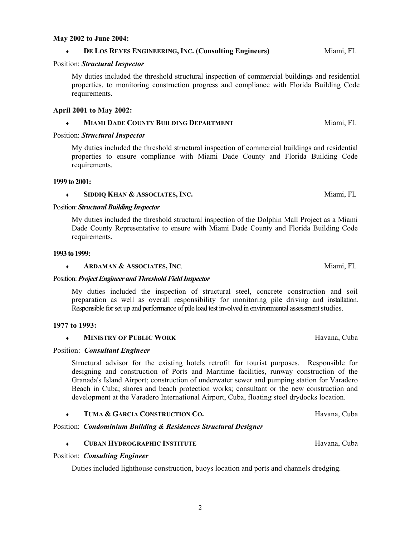#### **May 2002 to June 2004:**

#### ♦ **DE LOS REYES ENGINEERING, INC. (Consulting Engineers)**Miami, FL

#### Position: *Structural Inspector*

My duties included the threshold structural inspection of commercial buildings and residential properties, to monitoring construction progress and compliance with Florida Building Code requirements.

#### **April 2001 to May 2002:**

# ♦ **MIAMI DADE COUNTY BUILDING DEPARTMENT**Miami, FL

#### Position: *Structural Inspector*

My duties included the threshold structural inspection of commercial buildings and residential properties to ensure compliance with Miami Dade County and Florida Building Code requirements.

#### **1999 to 2001:**

#### ♦ **SIDDIQ KHAN & ASSOCIATES, INC.**Miami, FL

#### Position: *Structural Building Inspector*

My duties included the threshold structural inspection of the Dolphin Mall Project as a Miami Dade County Representative to ensure with Miami Dade County and Florida Building Code requirements.

#### **1993 to 1999:**

#### ♦ **ARDAMAN & ASSOCIATES, INC**.Miami, FL

#### Position: *Project Engineer and Threshold Field Inspector*

My duties included the inspection of structural steel, concrete construction and soil preparation as well as overall responsibility for monitoring pile driving and installation. Responsible for set up and performance of pile load test involved in environmental assessment studies.

#### **1977 to 1993:**

#### **MINISTRY OF PUBLIC WORK Havana, Cuba**

#### Position: *Consultant Engineer*

Structural advisor for the existing hotels retrofit for tourist purposes. Responsible for designing and construction of Ports and Maritime facilities, runway construction of the Granada's Island Airport; construction of underwater sewer and pumping station for Varadero Beach in Cuba; shores and beach protection works; consultant or the new construction and development at the Varadero International Airport, Cuba, floating steel drydocks location.

# ♦ **TUMA & GARCIA CONSTRUCTION CO.**Havana, Cuba

# Position: *Condominium Building & Residences Structural Designer*

#### Position: *Consulting Engineer*

Duties included lighthouse construction, buoys location and ports and channels dredging.

♦ **CUBAN HYDROGRAPHIC INSTITUTE**Havana, Cuba